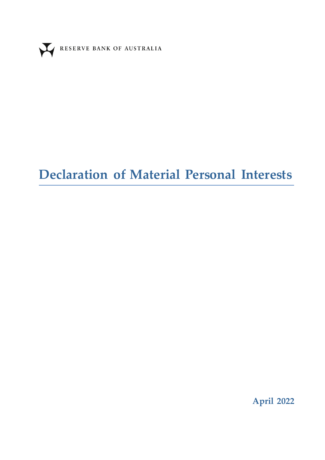

# **Declaration of Material Personal Interests**

**April 2022**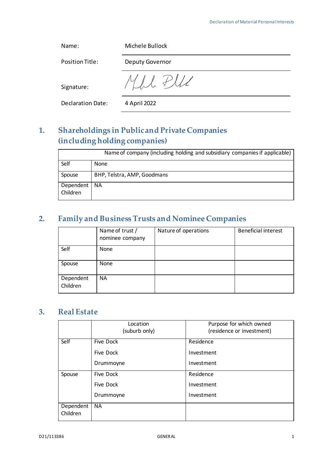| Name:                    | Michele Bullock |
|--------------------------|-----------------|
| Position Title:          | Deputy Governor |
| Signature:               |                 |
| <b>Declaration Date:</b> | 4 April 2022    |

# **1. Shareholdings in Public and Private Companies (including holding companies)**

|                       | Name of company (including holding and subsidiary companies if applicable) |
|-----------------------|----------------------------------------------------------------------------|
| Self                  | None                                                                       |
| Spouse                | BHP, Telstra, AMP, Goodmans                                                |
| Dependent<br>Children | <b>NA</b>                                                                  |

# **2. Family and Business Trusts and Nominee Companies**

|                       | Name of trust /<br>nominee company | Nature of operations | <b>Beneficial interest</b> |
|-----------------------|------------------------------------|----------------------|----------------------------|
| Self                  | None                               |                      |                            |
| Spouse                | None                               |                      |                            |
| Dependent<br>Children | <b>NA</b>                          |                      |                            |

#### **3. Real Estate**

|                       | Location<br>(suburb only) | Purpose for which owned<br>(residence or investment) |
|-----------------------|---------------------------|------------------------------------------------------|
| Self                  | Five Dock                 | Residence                                            |
|                       | Five Dock                 | Investment                                           |
|                       | Drummoyne                 | Investment                                           |
| Spouse                | Five Dock                 | Residence                                            |
|                       | Five Dock                 | Investment                                           |
|                       | Drummoyne                 | Investment                                           |
| Dependent<br>Children | <b>NA</b>                 |                                                      |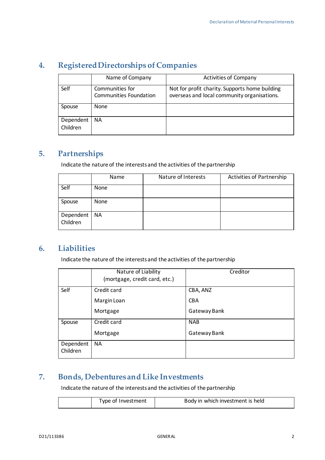# **4. Registered Directorships of Companies**

|                       | Name of Company                                  | <b>Activities of Company</b>                                                                  |
|-----------------------|--------------------------------------------------|-----------------------------------------------------------------------------------------------|
| Self                  | Communities for<br><b>Communities Foundation</b> | Not for profit charity. Supports home building<br>overseas and local community organisations. |
| Spouse                | None                                             |                                                                                               |
| Dependent<br>Children | <b>NA</b>                                        |                                                                                               |

## **5. Partnerships**

Indicate the nature of the interests and the activities of the partnership

|                       | Name      | Nature of Interests | <b>Activities of Partnership</b> |
|-----------------------|-----------|---------------------|----------------------------------|
| Self                  | None      |                     |                                  |
| Spouse                | None      |                     |                                  |
| Dependent<br>Children | <b>NA</b> |                     |                                  |

#### **6. Liabilities**

Indicate the nature of the interests and the activities of the partnership

|                       | Nature of Liability<br>(mortgage, credit card, etc.) | Creditor     |
|-----------------------|------------------------------------------------------|--------------|
| Self                  | Credit card                                          | CBA, ANZ     |
|                       | Margin Loan                                          | <b>CBA</b>   |
|                       | Mortgage                                             | Gateway Bank |
| Spouse                | Credit card                                          | <b>NAB</b>   |
|                       | Mortgage                                             | Gateway Bank |
| Dependent<br>Children | <b>NA</b>                                            |              |

## **7. Bonds, Debentures and Like Investments**

Indicate the nature of the interests and the activities of the partnership

| Type of Investment | Body in which investment is held |
|--------------------|----------------------------------|
|--------------------|----------------------------------|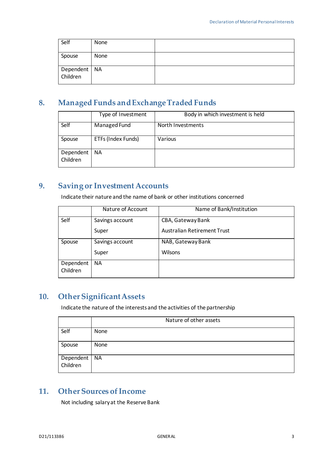| Self                     | None |  |
|--------------------------|------|--|
| Spouse                   | None |  |
| Dependent NA<br>Children |      |  |

## **8. Managed Funds and Exchange Traded Funds**

|                       | Type of Investment | Body in which investment is held |
|-----------------------|--------------------|----------------------------------|
| Self                  | Managed Fund       | North Investments                |
| Spouse                | ETFs (Index Funds) | Various                          |
| Dependent<br>Children | ΝA                 |                                  |

## **9. Saving or Investment Accounts**

Indicate their nature and the name of bank or other institutions concerned

|           | Nature of Account | Name of Bank/Institution           |
|-----------|-------------------|------------------------------------|
| Self      | Savings account   | CBA, Gateway Bank                  |
|           | Super             | <b>Australian Retirement Trust</b> |
| Spouse    | Savings account   | NAB, Gateway Bank                  |
|           | Super             | Wilsons                            |
| Dependent | <b>NA</b>         |                                    |
| Children  |                   |                                    |

#### **10. Other Significant Assets**

Indicate the nature of the interests and the activities of the partnership

|                          | Nature of other assets |
|--------------------------|------------------------|
| Self                     | None                   |
| Spouse                   | None                   |
| Dependent NA<br>Children |                        |
|                          |                        |

### **11. Other Sources of Income**

Not including salary at the Reserve Bank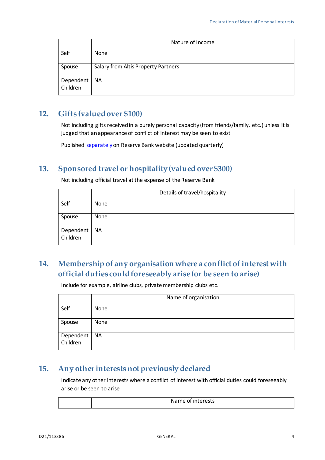|                       | Nature of Income                    |
|-----------------------|-------------------------------------|
| Self                  | None                                |
| Spouse                | Salary from Altis Property Partners |
| Dependent<br>Children | <b>NA</b>                           |

#### **12. Gifts (valued over \$100)**

Not including gifts received in a purely personal capacity (from friends/family, etc.) unless it is judged that an appearance of conflict of interest may be seen to exist

Published [separately](https://www.rba.gov.au/about-rba/gifts-and-benefits-register/)on Reserve Bank website (updated quarterly)

#### **13. Sponsored travel or hospitality (valued over \$300)**

Not including official travel at the expense of the Reserve Bank

|                       | Details of travel/hospitality |
|-----------------------|-------------------------------|
| Self                  | None                          |
| Spouse                | None                          |
| Dependent<br>Children | <b>NA</b>                     |

## **14. Membership of any organisation where a conflict of interest with official duties could foreseeably arise (or be seen to arise)**

Include for example, airline clubs, private membership clubs etc.

|                       | Name of organisation |
|-----------------------|----------------------|
| Self                  | None                 |
| Spouse                | None                 |
| Dependent<br>Children | <b>NA</b>            |

#### **15. Any other interests not previously declared**

Indicate any other interests where a conflict of interest with official duties could foreseeably arise or be seen to arise

Name of interests